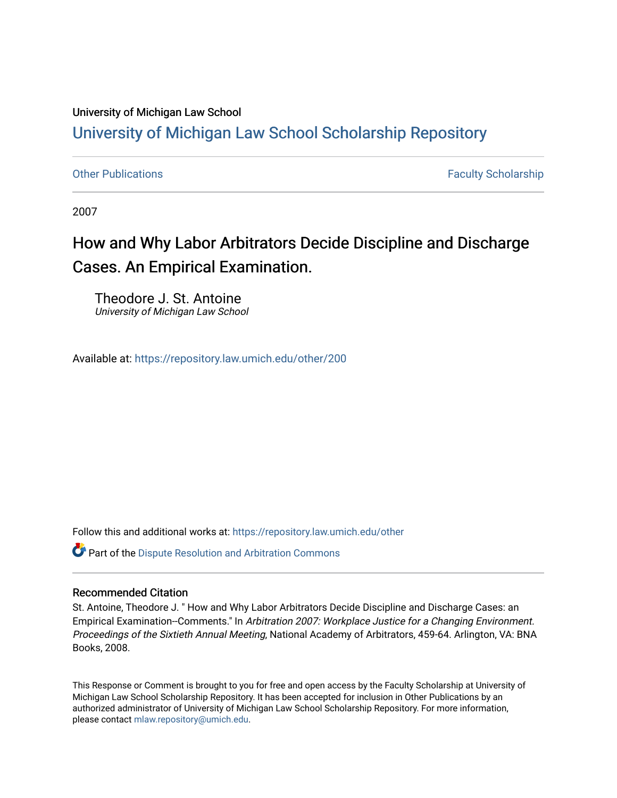### University of Michigan Law School

# [University of Michigan Law School Scholarship Repository](https://repository.law.umich.edu/)

[Other Publications](https://repository.law.umich.edu/other) **Faculty Scholarship Faculty Scholarship Faculty Scholarship** 

2007

# How and Why Labor Arbitrators Decide Discipline and Discharge Cases. An Empirical Examination.

Theodore J. St. Antoine University of Michigan Law School

Available at: <https://repository.law.umich.edu/other/200>

Follow this and additional works at: [https://repository.law.umich.edu/other](https://repository.law.umich.edu/other?utm_source=repository.law.umich.edu%2Fother%2F200&utm_medium=PDF&utm_campaign=PDFCoverPages)

Part of the [Dispute Resolution and Arbitration Commons](http://network.bepress.com/hgg/discipline/890?utm_source=repository.law.umich.edu%2Fother%2F200&utm_medium=PDF&utm_campaign=PDFCoverPages) 

#### Recommended Citation

St. Antoine, Theodore J. " How and Why Labor Arbitrators Decide Discipline and Discharge Cases: an Empirical Examination--Comments." In Arbitration 2007: Workplace Justice for a Changing Environment. Proceedings of the Sixtieth Annual Meeting, National Academy of Arbitrators, 459-64. Arlington, VA: BNA Books, 2008.

This Response or Comment is brought to you for free and open access by the Faculty Scholarship at University of Michigan Law School Scholarship Repository. It has been accepted for inclusion in Other Publications by an authorized administrator of University of Michigan Law School Scholarship Repository. For more information, please contact [mlaw.repository@umich.edu.](mailto:mlaw.repository@umich.edu)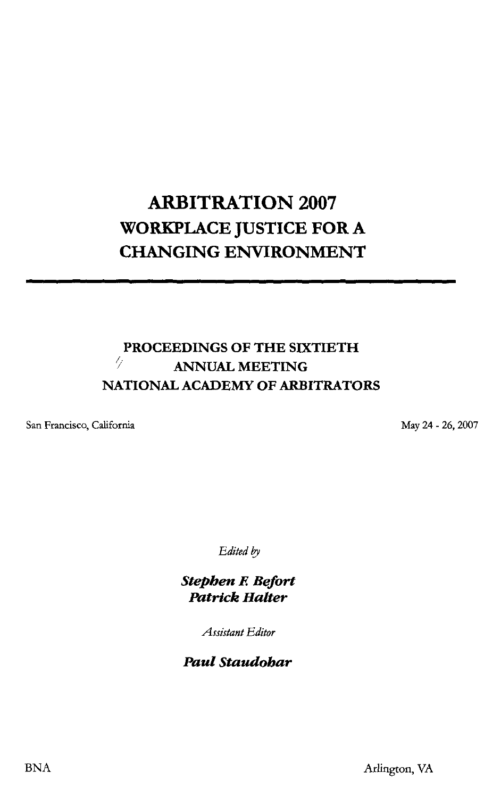## **ARBITRATION 2007 WORKPLACE JUSTICE FOR A CHANGING ENVIRONMENT**

#### **PROCEEDINGS OF THE SIXTIETH** I; **ANNUAL MEETING NATIONAL ACADEMY OF ARBITRATORS**

San Francisco, California

May 24 - 26, 2007

*Edited by* 

*Stephen E Befort Patrick Halter* 

*Assistant Editor* 

*Paul Staudohar*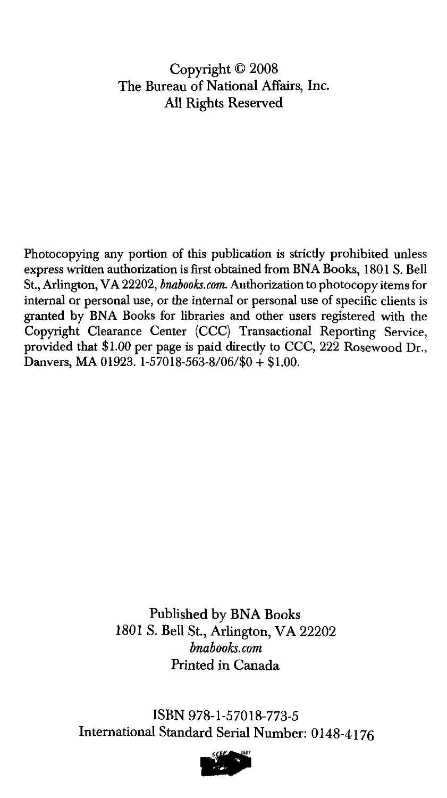#### Copyright © 2008 The Bureau of National Affairs, Inc. All Rights Reserved

Photocopying any portion of this publication is strictly prohibited unless express written authorization is first obtained from BNA Books, 1801 S. Bell St., Arlington, VA 22202, *bnabooks.com.* Authorization to photocopy items for internal or personal use, or the internal or personal use of specific clients is granted by BNA Books for libraries and other users registered with the Copyright Clearance Center (CCC) Transactional Reporting Service, provided that \$1.00 per page is paid directly to CCC, 222 Rosewood Dr., Danvers, MA 01923. 1-57018-563-8/06/\$0 + \$1.00.

> Published by **BNA** Books 1801 S. Bell St., Arlington, VA 22202 *bnabooks.com*  Printed in Canada

ISBN 978-1-57018-773-5 International Standard Serial Number: 0148-4176

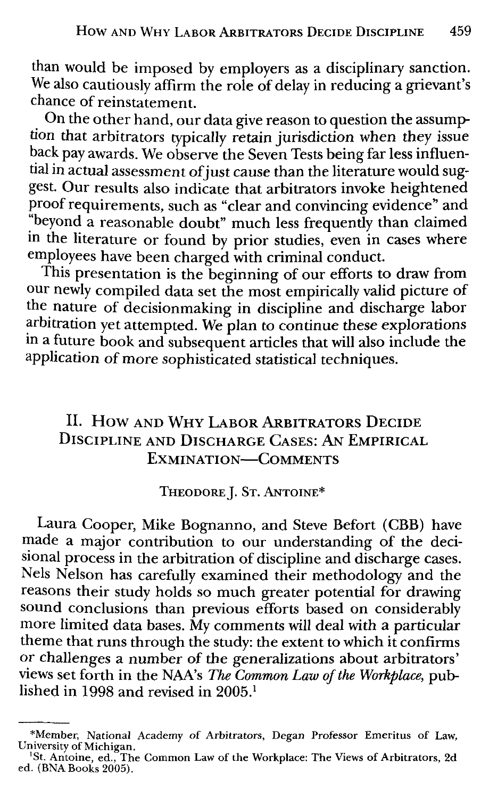than would be imposed by employers as a disciplinary sanction. We also cautiously affirm the role of delay in reducing a grievant's chance of reinstatement.

On the other hand, our data give reason to question the assumption that arbitrators typically retain jurisdiction when they issue back pay awards. We observe the Seven Tests being far less influential in actual assessment of just cause than the literature would suggest. Our results also indicate that arbitrators invoke heightened proof requirements, such as "clear and convincing evidence" and :•beyond a reasonable doubt" much less frequently than claimed m the literature or found by prior studies, even in cases where employees have been charged with criminal conduct.

This presentation is the beginning of our efforts to draw from our newly compiled data set the most empirically valid picture of the nature of decisionmaking in discipline and discharge labor arbitration yet attempted. We plan to continue these explorations ma future book and subsequent articles that will also include the application of more sophisticated statistical techniques.

#### II. How AND WHY LABOR ARBITRATORS DECIDE **DISCIPLINE AND DISCHARGE CASES: AN EMPIRICAL EXMINATION-COMMENTS**

THEODORE]. ST. ANTOINE\*

Laura Cooper, Mike Bognanno, and Steve Befort (CBB) have made a major contribution to our understanding of the decisional process in the arbitration of discipline and discharge cases. Nels Nelson has carefully examined their methodology and the reasons their study holds so much greater potential for drawing sound conclusions than previous efforts based on considerably more limited data bases. My comments will deal with a particular theme that runs through the study: the extent to which it confirms or challenges a number of the generalizations about arbitrators' views set forth in the NAA's *The Common Law of the Workplace,* published in 1998 and revised in 2005.1

<sup>\*</sup>Member, National Academy of Arbitrators, Degan Professor Emeritus of Law, University of Michigan.<br><sup>1</sup>St, Antoine, ed., The

<sup>&</sup>lt;sup>1</sup>St. Antoine, ed., The Common Law of the Workplace: The Views of Arbitrators, 2d ed. (BNA Books 2005).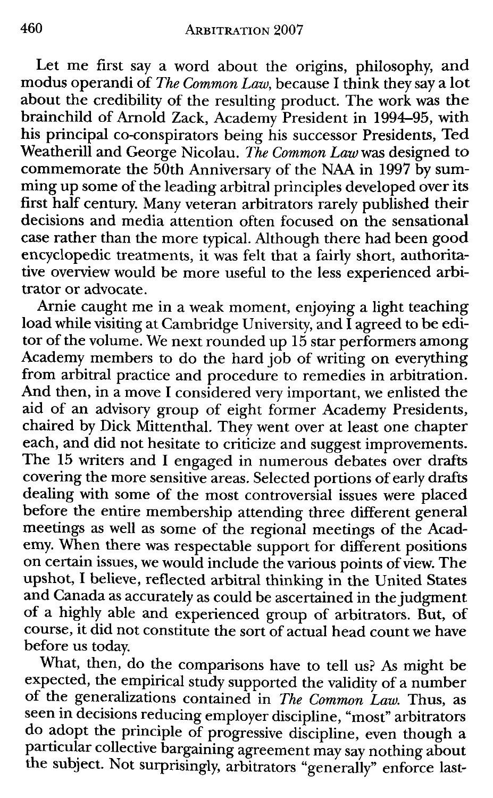Let me first say a word about the origins, philosophy, and modus operandi of *The Common Law,* because I think they say a lot about the credibility of the resulting product. The work was the brainchild of Arnold Zack, Academy President in 1994-95, with his principal co-conspirators being his successor Presidents, Ted Weatherill and George Nicolau. *The Common Law* was designed to commemorate the  $5\bar{0}$ th Anniversary of the NAA in 1997  $\bar{b}$ y summing up some of the leading arbitral principles developed over its first half century. Many veteran arbitrators rarely published their decisions and media attention often focused on the sensational case rather than the more typical. Although there had been good encyclopedic treatments, it was felt that a fairly short, authoritative overview would be more useful to the less experienced arbitrator or advocate.

Arnie caught me in a weak moment, enjoying a light teaching load while visiting at Cambridge University, and I agreed to be editor of the volume. We next rounded up  $15$  star performers among Academy members to do the hard job of writing on everything from arbitral practice and procedure to remedies in arbitration. And then, in a move I considered very important, we enlisted the aid of an advisory group of eight former Academy Presidents, chaired by Dick Mittenthal. They went over at least one chapter each, and did not hesitate to criticize and suggest improvements. The 15 writers and I engaged in numerous debates over drafts covering the more sensitive areas. Selected portions of early drafts dealing with some of the most controversial issues were placed before the entire membership attending three different general meetings as well as some of the regional meetings of the Academy. When there was respectable support for different positions on certain issues, we would include the various points of view. The upshot, I believe, reflected arbitral thinking in the United States and Canada as accurately as could be ascertained in the judgment of a highly able and experienced group of arbitrators. But, of course, it did not constitute the sort of actual head count we have before us today.

What, then, do the comparisons have to tell us? As might be expected, the empirical study supported the validity of a number of the generalizations contained in *The Common Law.* Thus, as seen in decisions reducing employer discipline, "most" arbitrators do adopt the principle of progressive discipline, even though a particular collective bargaining agreement may say nothing about the subject. Not surprisingly, arbitrators "generally" enforce last-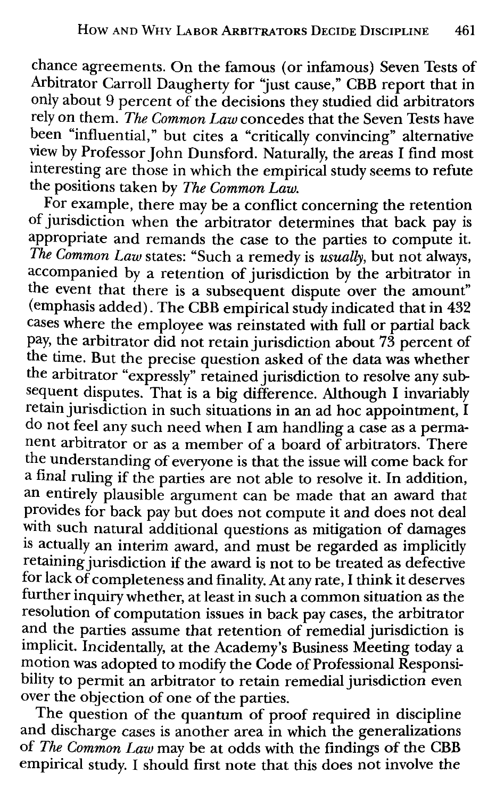chance agreements. On the famous (or infamous) Seven Tests of Arbitrator Carroll Daugherty for "just cause," CBB report that in only about 9 percent of the decisions they studied did arbitrators rely on them. *The Common Law* concedes that the Seven Tests have been "influential," but cites a "critically convincing" alternative view by Professor John Dunsford. Naturally, the areas I find most interesting are those in which the empirical study seems to refute the positions taken by *The Common Law.* 

For example, there may be a conflict concerning the retention of jurisdiction when the arbitrator determines that back pay is appropriate and remands the case to the parties to compute it. *The Common Law* states: "Such a remedy is *usually,* but not always, accompanied by a retention of jurisdiction by the arbitrator in the event that there is a subsequent dispute over the amount" (emphasis added). The CBB empirical study indicated that in 432 cases where the employee was reinstated with full or partial back pay, the arbitrator did not retain jurisdiction about 73 percent of the time. But the precise question asked of the data was whether the arbitrator "expressly" retained jurisdiction to resolve any subsequent disputes. That is a big difference. Although I invariably retain jurisdiction in such situations in an ad hoc appointment, I do not feel any such need when I am handling a case as a permanent arbitrator or as a member of a board of arbitrators. There the understanding of everyone is that the issue will come back for a final ruling if the parties are not able to resolve it. In addition, an entirely plausible argument can be made that an award that provides for back pay but does not compute it and does not deal with such natural additional questions as mitigation of damages is actually an interim award, and must be regarded as implicitly retaining jurisdiction if the award is not to be treated as defective for lack of completeness and finality. At any rate, I think it deserves further inquiry whether, at least in such a common situation as the resolution of computation issues in back pay cases, the arbitrator and the parties assume that retention of remedial jurisdiction is implicit. Incidentally, at the Academy's Business Meeting today a motion was adopted to modify the Code of Professional Responsibility to permit an arbitrator to retain remedial jurisdiction even over the objection of one of the parties.

The question of the quantum of proof required in discipline and discharge cases is another area in which the generalizations of *The Common Law* may be at odds with the findings of the CBB empirical study. I should first note that this does not involve the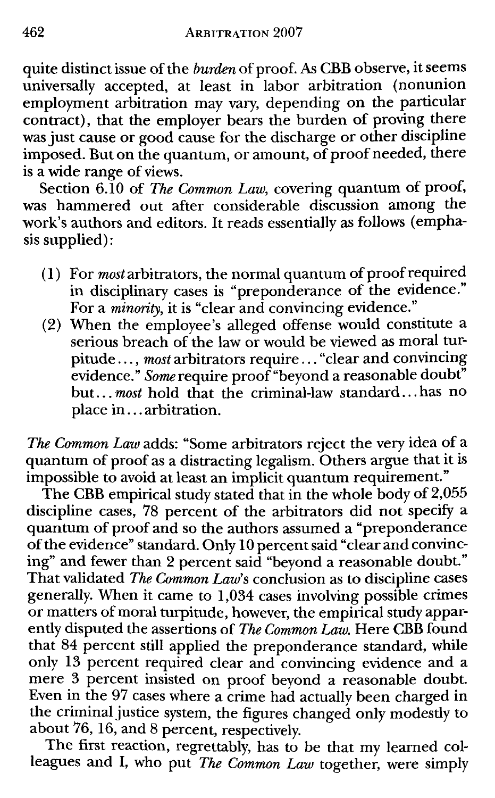quite distinct issue of the *burden* of proof. As CBB observe, it seems universally accepted, at least in labor arbitration (nonunion employment arbitration may vary, depending on the particular contract), that the employer bears the burden of proving there was just cause or good cause for the discharge or other discipline imposed. But on the quantum, or amount, of proof needed, there is a wide range of views.

Section 6.10 of *The Common Law,* covering quantum of proof, was hammered out after considerable discussion among the work's authors and editors. It reads essentially as follows (emphasis supplied):

- (1) For *most* arbitrators, the normal quantum of proof required in disciplinary cases is "preponderance of the evidence." For a *minority,* it is "clear and convincing evidence."
- (2) When the employee's alleged offense would constitute a serious breach of the law or would be viewed as moral turpitude ... , *most* arbitrators require ... "clear and convincing evidence." *Some* require proof"beyond a reasonable doubt" but ... *most* hold that the criminal-law standard ... has no place in ... arbitration.

*The Common Law* adds: "Some arbitrators reject the very idea of a quantum of proof as a distracting legalism. Others argue that it is impossible to avoid at least an implicit quantum requirement."

The CBB empirical study stated that in the whole body of 2,055 discipline cases, 78 percent of the arbitrators did not specify a quantum of proof and so the authors assumed a "preponderance of the evidence" standard. Only 10 percent said "clear and convincing" and fewer than 2 percent said "beyond a reasonable doubt." That validated *The Common Law's* conclusion as to discipline cases generally. When it came to 1,034 cases involving possible crimes or matters of moral turpitude, however, the empirical study apparently disputed the assertions of *The Common Law.* Here CBB found that 84 percent still applied the preponderance standard, while only 13 percent required clear and convincing evidence and a mere 3 percent insisted on proof beyond a reasonable doubt. Even in the 97 cases where a crime had actually been charged in the criminal justice system, the figures changed only modestly to about 76, 16, and 8 percent, respectively.

The first reaction, regrettably, has to be that my learned colleagues and I, who put *The Common Law* together, were simply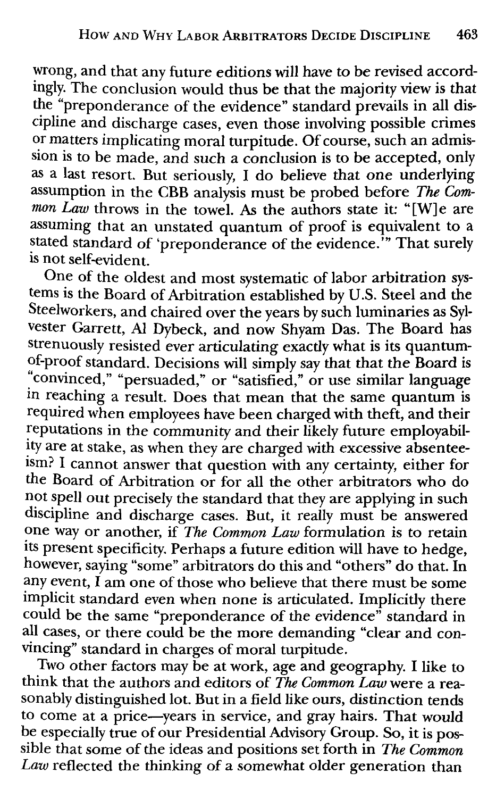wrong, and that any future editions will have to be revised accordingly. The conclusion would thus be that the majority view is that the "preponderance of the evidence" standard prevails in all discipline and discharge cases, even those involving possible crimes or matters implicating moral turpitude. Of course, such an admission is to be made, and such a conclusion is to be accepted, only as a last resort. But seriously, I do believe that one underlying assumption in the CBB analysis must be probed before *The Common Law* throws in the towel. As the authors state it: "[W] e are assuming that an unstated quantum of proof is equivalent to a stated standard of 'preponderance of the evidence.'" That surely 1s not self-evident.

One of the oldest and most systematic of labor arbitration systems is the Board of Arbitration established by U.S. Steel and the Steelworkers, and chaired over the years by such luminaries as Sylvester Garrett, Al Dybeck, and now Shyam Das. The Board has strenuously resisted ever articulating exactly what is its quantumof-proof standard. Decisions will simply say that that the Board is '.'convinced," "persuaded," or "satisfied," or use similar language in reaching a result. Does that mean that the same quantum is required when employees have been charged with theft, and their reputations in the community and their likely future employability are at stake, as when they are charged with excessive absenteeism? I cannot answer that question with any certainty, either for the Board of Arbitration or for all the other arbitrators who do not spell out precisely the standard that they are applying in such discipline and discharge cases. But, it really must be answered one way or another, if *The Common Law* formulation is to retain its present specificity. Perhaps a future edition will have to hedge, however, saying "some" arbitrators do this and "others" do that. In any event, I am one of those who believe that there must be some implicit standard even when none is articulated. Implicitly there could be the same "preponderance of the evidence" standard in all cases, or there could be the more demanding "clear and convincing" standard in charges of moral turpitude.

Two other factors may be at work, age and geography. I like to think that the authors and editors of *The Common Law* were a reasonably distinguished lot. But in a field like ours, distinction tends to come at a price-years in service, and gray hairs. That would be especially true of our Presidential Advisory Group. So, it is possible that some of the ideas and positions set forth in *The Common Law* reflected the thinking of a somewhat older generation than